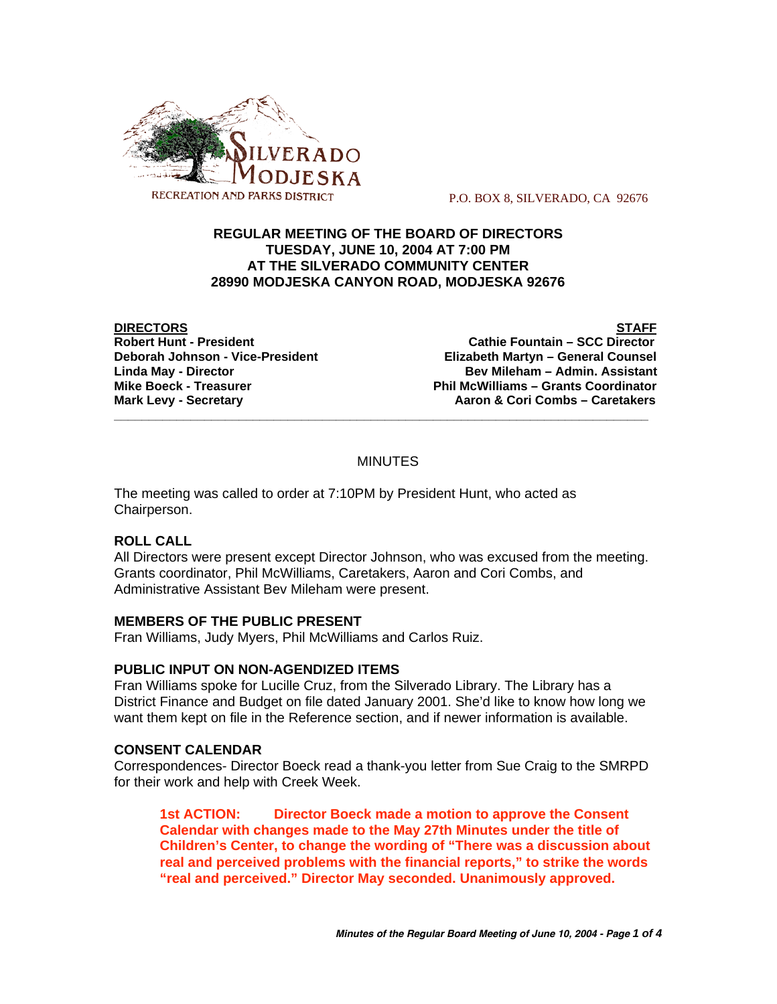

P.O. BOX 8, SILVERADO, CA 92676

## **REGULAR MEETING OF THE BOARD OF DIRECTORS TUESDAY, JUNE 10, 2004 AT 7:00 PM AT THE SILVERADO COMMUNITY CENTER 28990 MODJESKA CANYON ROAD, MODJESKA 92676**

**DIRECTORS STAFF**

**Cathie Fountain – SCC Director Deborah Johnson - Vice-President Elizabeth Martyn – General Counsel Linda May - Director Bev Mileham – Admin. Assistant Mike Boeck - Treasurer Phil McWilliams – Grants Coordinator Mark Levy - Secretary Combus 4 Aaron & Cori Combs – Caretakers** 

## **MINUTES**

**\_\_\_\_\_\_\_\_\_\_\_\_\_\_\_\_\_\_\_\_\_\_\_\_\_\_\_\_\_\_\_\_\_\_\_\_\_\_\_\_\_\_\_\_\_\_\_\_\_\_\_\_\_\_\_\_\_\_\_\_\_\_\_\_\_\_\_\_\_\_\_\_\_\_\_\_\_**

The meeting was called to order at 7:10PM by President Hunt, who acted as Chairperson.

# **ROLL CALL**

All Directors were present except Director Johnson, who was excused from the meeting. Grants coordinator, Phil McWilliams, Caretakers, Aaron and Cori Combs, and Administrative Assistant Bev Mileham were present.

### **MEMBERS OF THE PUBLIC PRESENT**

Fran Williams, Judy Myers, Phil McWilliams and Carlos Ruiz.

# **PUBLIC INPUT ON NON-AGENDIZED ITEMS**

Fran Williams spoke for Lucille Cruz, from the Silverado Library. The Library has a District Finance and Budget on file dated January 2001. She'd like to know how long we want them kept on file in the Reference section, and if newer information is available.

### **CONSENT CALENDAR**

Correspondences- Director Boeck read a thank-you letter from Sue Craig to the SMRPD for their work and help with Creek Week.

**1st ACTION: Director Boeck made a motion to approve the Consent Calendar with changes made to the May 27th Minutes under the title of Children's Center, to change the wording of "There was a discussion about real and perceived problems with the financial reports," to strike the words "real and perceived." Director May seconded. Unanimously approved.**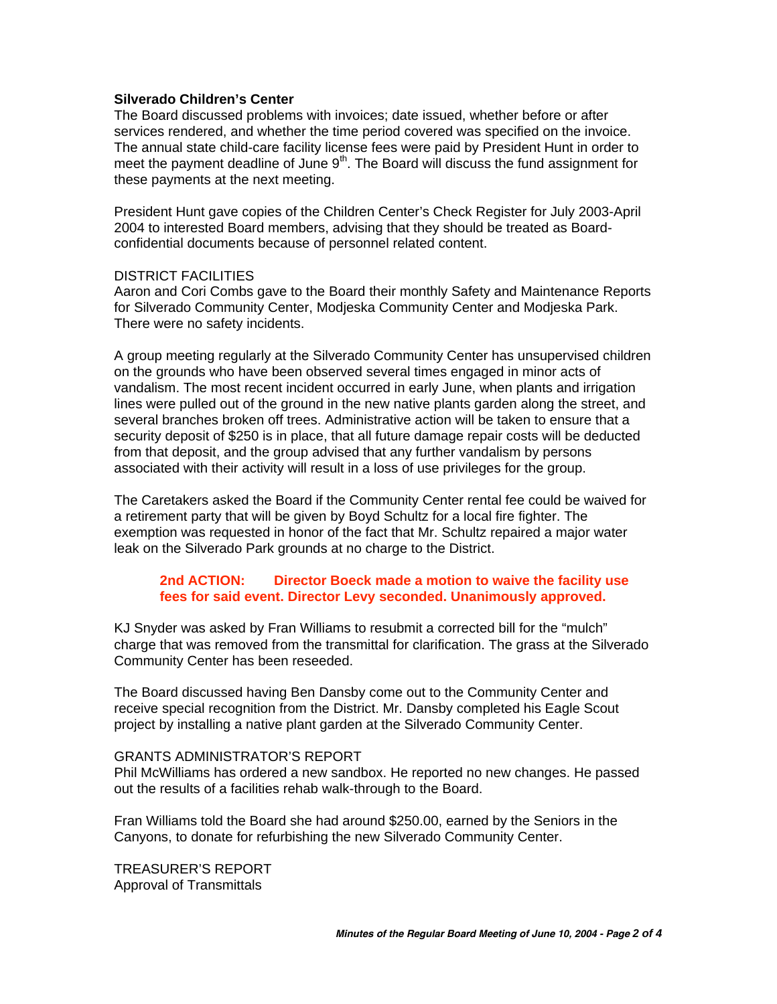#### **Silverado Children's Center**

The Board discussed problems with invoices; date issued, whether before or after services rendered, and whether the time period covered was specified on the invoice. The annual state child-care facility license fees were paid by President Hunt in order to meet the payment deadline of June  $9<sup>th</sup>$ . The Board will discuss the fund assignment for these payments at the next meeting.

President Hunt gave copies of the Children Center's Check Register for July 2003-April 2004 to interested Board members, advising that they should be treated as Boardconfidential documents because of personnel related content.

#### DISTRICT FACILITIES

Aaron and Cori Combs gave to the Board their monthly Safety and Maintenance Reports for Silverado Community Center, Modjeska Community Center and Modjeska Park. There were no safety incidents.

A group meeting regularly at the Silverado Community Center has unsupervised children on the grounds who have been observed several times engaged in minor acts of vandalism. The most recent incident occurred in early June, when plants and irrigation lines were pulled out of the ground in the new native plants garden along the street, and several branches broken off trees. Administrative action will be taken to ensure that a security deposit of \$250 is in place, that all future damage repair costs will be deducted from that deposit, and the group advised that any further vandalism by persons associated with their activity will result in a loss of use privileges for the group.

The Caretakers asked the Board if the Community Center rental fee could be waived for a retirement party that will be given by Boyd Schultz for a local fire fighter. The exemption was requested in honor of the fact that Mr. Schultz repaired a major water leak on the Silverado Park grounds at no charge to the District.

### **2nd ACTION: Director Boeck made a motion to waive the facility use fees for said event. Director Levy seconded. Unanimously approved.**

KJ Snyder was asked by Fran Williams to resubmit a corrected bill for the "mulch" charge that was removed from the transmittal for clarification. The grass at the Silverado Community Center has been reseeded.

The Board discussed having Ben Dansby come out to the Community Center and receive special recognition from the District. Mr. Dansby completed his Eagle Scout project by installing a native plant garden at the Silverado Community Center.

#### GRANTS ADMINISTRATOR'S REPORT

Phil McWilliams has ordered a new sandbox. He reported no new changes. He passed out the results of a facilities rehab walk-through to the Board.

Fran Williams told the Board she had around \$250.00, earned by the Seniors in the Canyons, to donate for refurbishing the new Silverado Community Center.

TREASURER'S REPORT Approval of Transmittals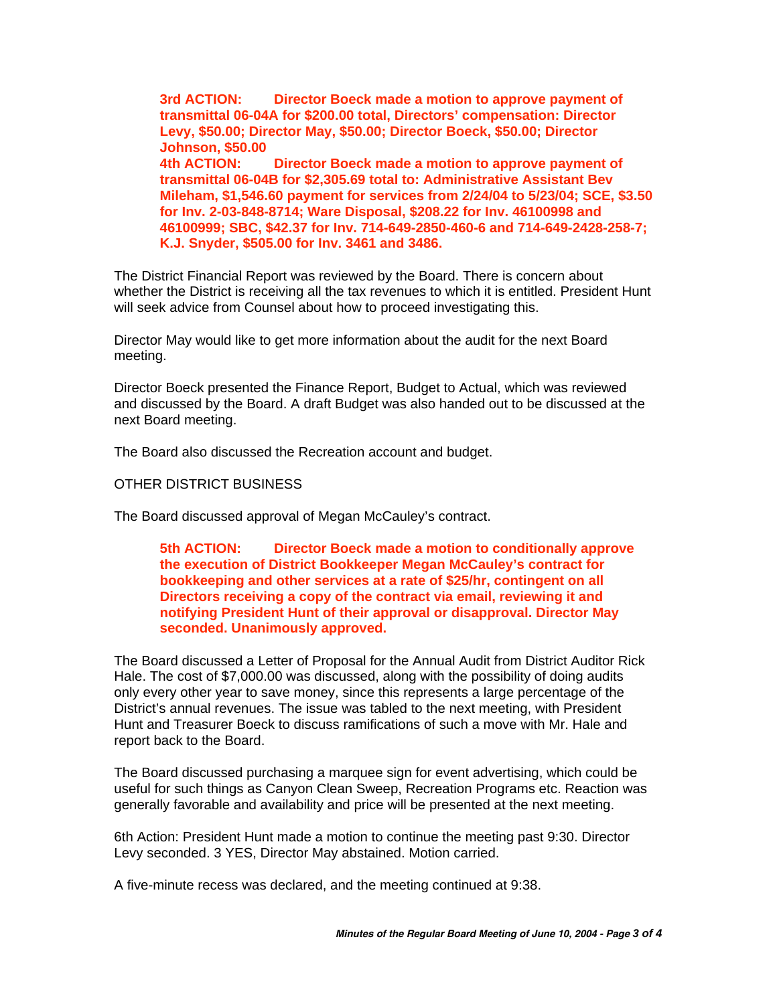**3rd ACTION: Director Boeck made a motion to approve payment of transmittal 06-04A for \$200.00 total, Directors' compensation: Director Levy, \$50.00; Director May, \$50.00; Director Boeck, \$50.00; Director Johnson, \$50.00 4th ACTION: Director Boeck made a motion to approve payment of transmittal 06-04B for \$2,305.69 total to: Administrative Assistant Bev Mileham, \$1,546.60 payment for services from 2/24/04 to 5/23/04; SCE, \$3.50 for Inv. 2-03-848-8714; Ware Disposal, \$208.22 for Inv. 46100998 and 46100999; SBC, \$42.37 for Inv. 714-649-2850-460-6 and 714-649-2428-258-7; K.J. Snyder, \$505.00 for Inv. 3461 and 3486.**

The District Financial Report was reviewed by the Board. There is concern about whether the District is receiving all the tax revenues to which it is entitled. President Hunt will seek advice from Counsel about how to proceed investigating this.

Director May would like to get more information about the audit for the next Board meeting.

Director Boeck presented the Finance Report, Budget to Actual, which was reviewed and discussed by the Board. A draft Budget was also handed out to be discussed at the next Board meeting.

The Board also discussed the Recreation account and budget.

#### OTHER DISTRICT BUSINESS

The Board discussed approval of Megan McCauley's contract.

**5th ACTION: Director Boeck made a motion to conditionally approve the execution of District Bookkeeper Megan McCauley's contract for bookkeeping and other services at a rate of \$25/hr, contingent on all Directors receiving a copy of the contract via email, reviewing it and notifying President Hunt of their approval or disapproval. Director May seconded. Unanimously approved.**

The Board discussed a Letter of Proposal for the Annual Audit from District Auditor Rick Hale. The cost of \$7,000.00 was discussed, along with the possibility of doing audits only every other year to save money, since this represents a large percentage of the District's annual revenues. The issue was tabled to the next meeting, with President Hunt and Treasurer Boeck to discuss ramifications of such a move with Mr. Hale and report back to the Board.

The Board discussed purchasing a marquee sign for event advertising, which could be useful for such things as Canyon Clean Sweep, Recreation Programs etc. Reaction was generally favorable and availability and price will be presented at the next meeting.

6th Action: President Hunt made a motion to continue the meeting past 9:30. Director Levy seconded. 3 YES, Director May abstained. Motion carried.

A five-minute recess was declared, and the meeting continued at 9:38.